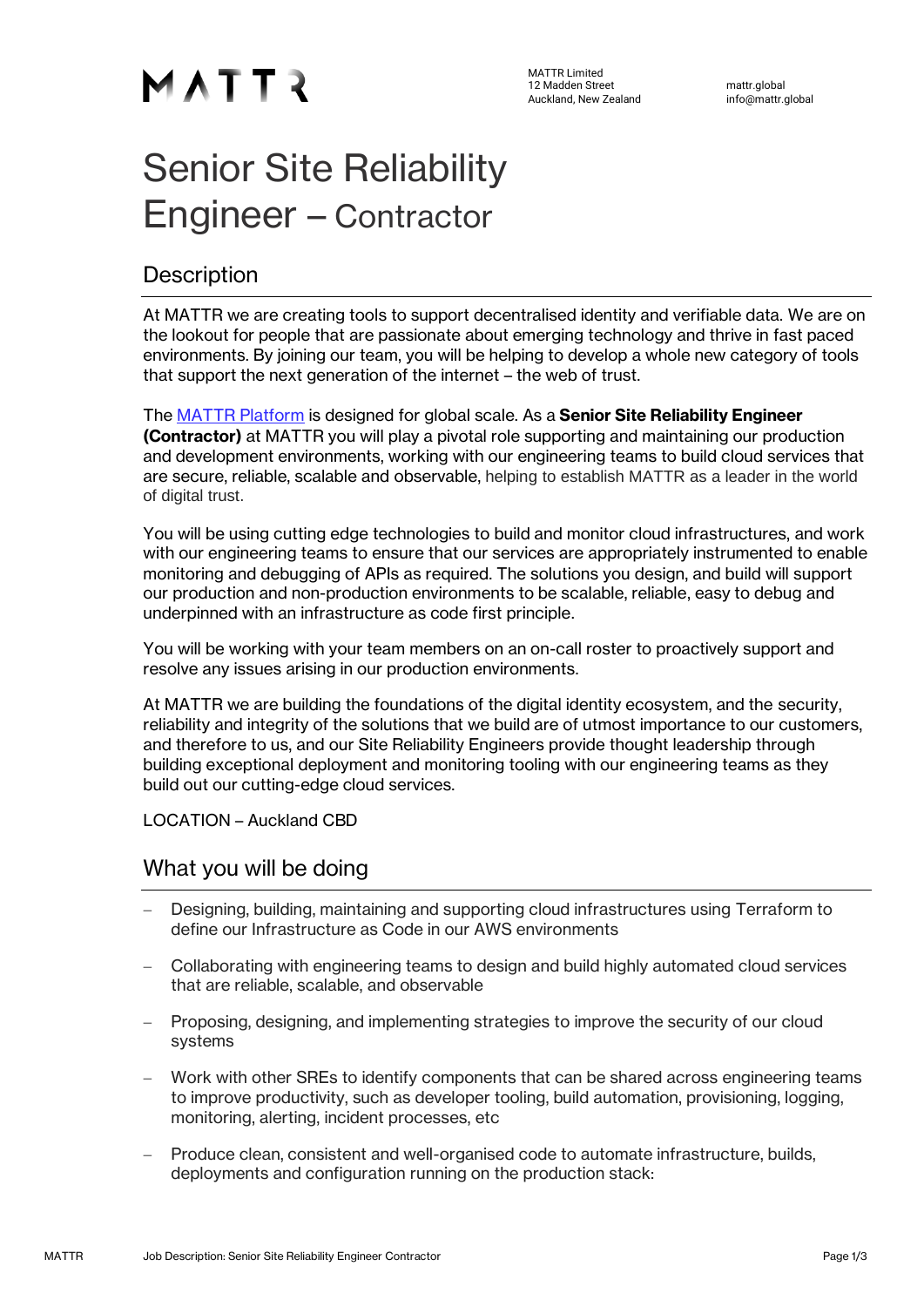MATTR Limited 12 Madden Street mattr.global<br>Auckland New Zealand mattr.global info@mattr.global Auckland, New Zealand

# Senior Site Reliability Engineer – Contractor

## **Description**

At MATTR we are creating tools to support decentralised identity and verifiable data. We are on the lookout for people that are passionate about emerging technology and thrive in fast paced environments. By joining our team, you will be helping to develop a whole new category of tools that support the next generation of the internet – the web of trust.

The [MATTR Platform](https://mattr.global/products/) is designed for global scale. As a **Senior Site Reliability Engineer (Contractor)** at MATTR you will play a pivotal role supporting and maintaining our production and development environments, working with our engineering teams to build cloud services that are secure, reliable, scalable and observable, helping to establish MATTR as a leader in the world of digital trust.

You will be using cutting edge technologies to build and monitor cloud infrastructures, and work with our engineering teams to ensure that our services are appropriately instrumented to enable monitoring and debugging of APIs as required. The solutions you design, and build will support our production and non-production environments to be scalable, reliable, easy to debug and underpinned with an infrastructure as code first principle.

You will be working with your team members on an on-call roster to proactively support and resolve any issues arising in our production environments.

At MATTR we are building the foundations of the digital identity ecosystem, and the security, reliability and integrity of the solutions that we build are of utmost importance to our customers, and therefore to us, and our Site Reliability Engineers provide thought leadership through building exceptional deployment and monitoring tooling with our engineering teams as they build out our cutting-edge cloud services.

LOCATION – Auckland CBD

### What you will be doing

- − Designing, building, maintaining and supporting cloud infrastructures using Terraform to define our Infrastructure as Code in our AWS environments
- − Collaborating with engineering teams to design and build highly automated cloud services that are reliable, scalable, and observable
- − Proposing, designing, and implementing strategies to improve the security of our cloud systems
- Work with other SREs to identify components that can be shared across engineering teams to improve productivity, such as developer tooling, build automation, provisioning, logging, monitoring, alerting, incident processes, etc
- − Produce clean, consistent and well-organised code to automate infrastructure, builds, deployments and configuration running on the production stack: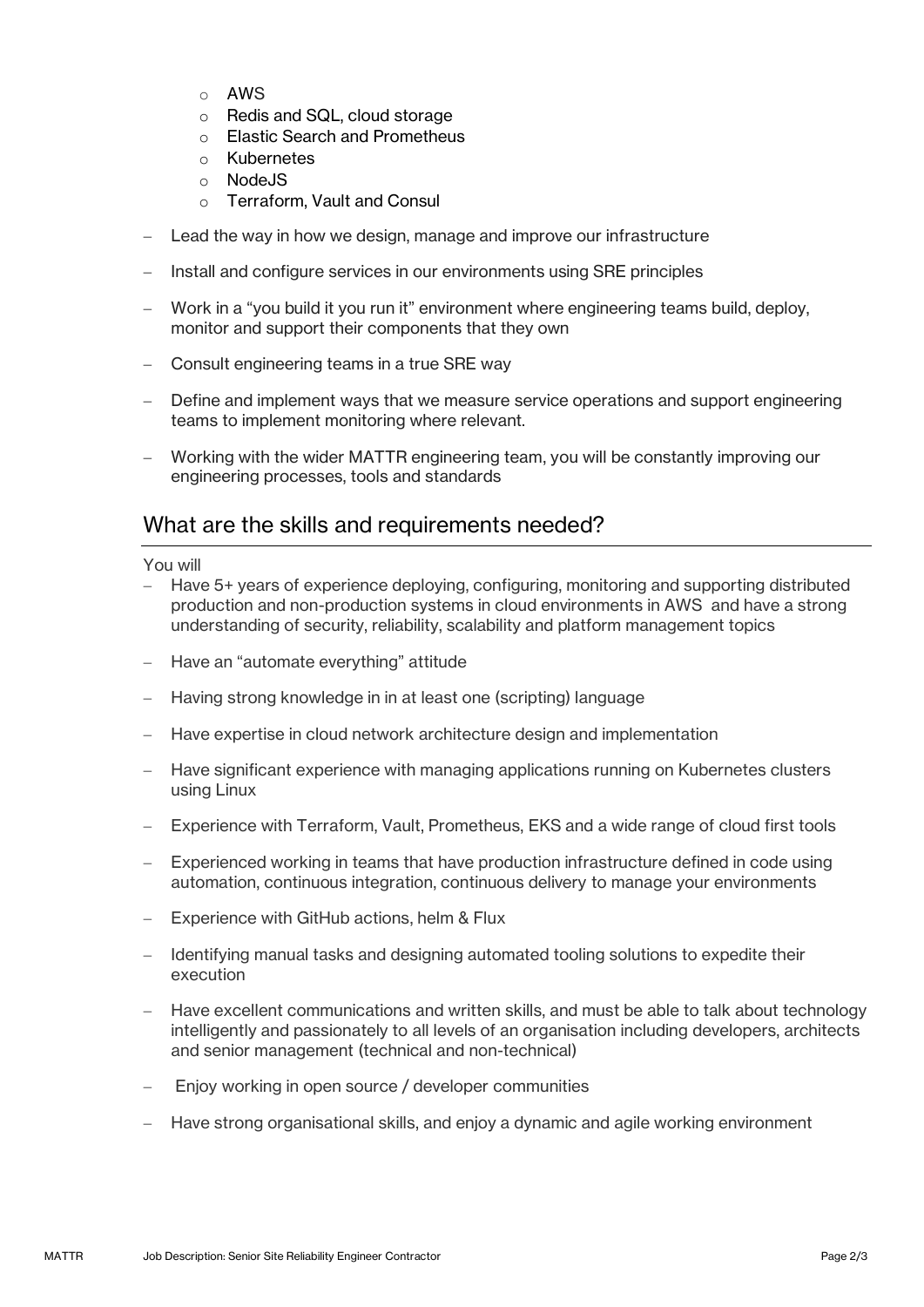- o AWS
- o Redis and SQL, cloud storage
- o Elastic Search and Prometheus
- o Kubernetes
- o NodeJS
- o Terraform, Vault and Consul
- Lead the way in how we design, manage and improve our infrastructure
- Install and configure services in our environments using SRE principles
- − Work in a "you build it you run it" environment where engineering teams build, deploy, monitor and support their components that they own
- Consult engineering teams in a true SRE way
- Define and implement ways that we measure service operations and support engineering teams to implement monitoring where relevant.
- − Working with the wider MATTR engineering team, you will be constantly improving our engineering processes, tools and standards

#### What are the skills and requirements needed?

You will

- − Have 5+ years of experience deploying, configuring, monitoring and supporting distributed production and non-production systems in cloud environments in AWS and have a strong understanding of security, reliability, scalability and platform management topics
- − Have an "automate everything" attitude
- − Having strong knowledge in in at least one (scripting) language
- Have expertise in cloud network architecture design and implementation
- Have significant experience with managing applications running on Kubernetes clusters using Linux
- − Experience with Terraform, Vault, Prometheus, EKS and a wide range of cloud first tools
- Experienced working in teams that have production infrastructure defined in code using automation, continuous integration, continuous delivery to manage your environments
- − Experience with GitHub actions, helm & Flux
- − Identifying manual tasks and designing automated tooling solutions to expedite their execution
- − Have excellent communications and written skills, and must be able to talk about technology intelligently and passionately to all levels of an organisation including developers, architects and senior management (technical and non-technical)
- Enjoy working in open source / developer communities
- Have strong organisational skills, and enjoy a dynamic and agile working environment